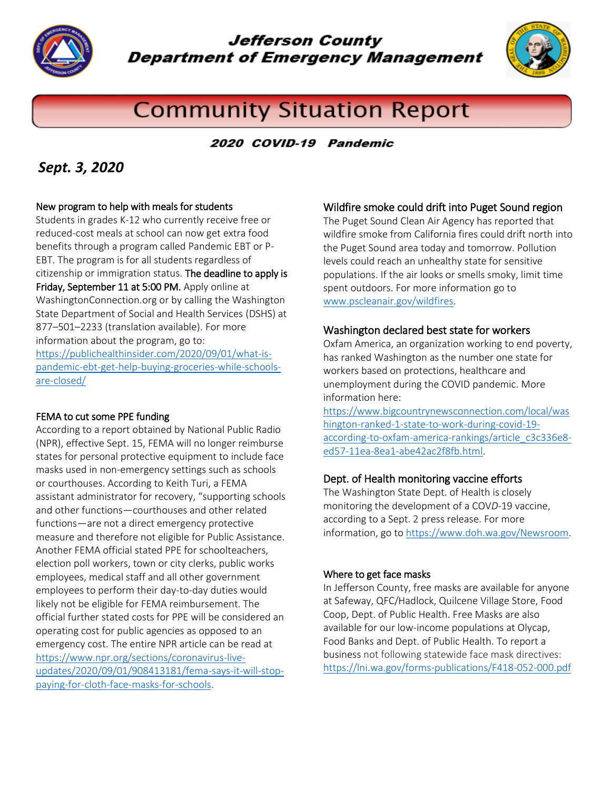

Jefferson County **Department of Emergency Management** 



# **Community Situation Report**

## 2020 COVID-19 Pandemic

# *Sept. 3, 2020*

#### New program to help with meals for students

Students in grades K-12 who currently receive free or reduced-cost meals at school can now get extra food benefits through a program called Pandemic EBT or P-EBT. The program is for all students regardless of citizenship or immigration status. The deadline to apply is Friday, September 11 at 5:00 PM. Apply online at WashingtonConnection.org or by calling the [Washington](https://www.dshs.wa.gov/)  [State Department of Social and Health Services](https://www.dshs.wa.gov/) (DSHS) at 877–501–2233 (translation available). For more information about the program, go to: [https://publichealthinsider.com/2020/09/01/what-is](https://publichealthinsider.com/2020/09/01/what-is-pandemic-ebt-get-help-buying-groceries-while-schools-are-closed/)[pandemic-ebt-get-help-buying-groceries-while-schools](https://publichealthinsider.com/2020/09/01/what-is-pandemic-ebt-get-help-buying-groceries-while-schools-are-closed/)[are-closed/](https://publichealthinsider.com/2020/09/01/what-is-pandemic-ebt-get-help-buying-groceries-while-schools-are-closed/)

#### FEMA to cut some PPE funding

According to a report obtained by National Public Radio (NPR), effective Sept. 15, FEMA will no longer reimburse states for personal protective equipment to include face masks used in non-emergency settings such as schools or courthouses. According to Keith Turi, a FEMA assistant administrator for recovery, "supporting schools and other functions—courthouses and other related functions—are not a direct emergency protective measure and therefore not eligible for Public Assistance. Another FEMA official stated PPE for schoolteachers, election poll workers, town or city clerks, public works employees, medical staff and all other government employees to perform their day-to-day duties would likely not be eligible for FEMA reimbursement. The official further stated costs for PPE will be considered an operating cost for public agencies as opposed to an emergency cost. The entire NPR article can be read at [https://www.npr.org/sections/coronavirus-live](https://www.npr.org/sections/coronavirus-live-updates/2020/09/01/908413181/fema-says-it-will-stop-paying-for-cloth-face-masks-for-schools)[updates/2020/09/01/908413181/fema-says-it-will-stop](https://www.npr.org/sections/coronavirus-live-updates/2020/09/01/908413181/fema-says-it-will-stop-paying-for-cloth-face-masks-for-schools)[paying-for-cloth-face-masks-for-schools.](https://www.npr.org/sections/coronavirus-live-updates/2020/09/01/908413181/fema-says-it-will-stop-paying-for-cloth-face-masks-for-schools)

#### Wildfire smoke could drift into Puget Sound region

The Puget Sound Clean Air Agency has reported that wildfire smoke from California fires could drift north into the Puget Sound area today and tomorrow. Pollution levels could reach an unhealthy state for sensitive populations. If the air looks or smells smoky, limit time spent outdoors. For more information go to [www.pscleanair.gov/wildfires.](http://www.pscleanair.gov/wildfires)

#### Washington declared best state for workers

Oxfam America, an organization working to end poverty, has ranked Washington as the number one state for workers based on protections, healthcare and unemployment during the COVID pandemic. More information here:

[https://www.bigcountrynewsconnection.com/local/was](https://www.bigcountrynewsconnection.com/local/washington-ranked-1-state-to-work-during-covid-19-according-to-oxfam-america-rankings/article_c3c336e8-ed57-11ea-8ea1-abe42ac2f8fb.html) [hington-ranked-1-state-to-work-during-covid-19](https://www.bigcountrynewsconnection.com/local/washington-ranked-1-state-to-work-during-covid-19-according-to-oxfam-america-rankings/article_c3c336e8-ed57-11ea-8ea1-abe42ac2f8fb.html) [according-to-oxfam-america-rankings/article\\_c3c336e8](https://www.bigcountrynewsconnection.com/local/washington-ranked-1-state-to-work-during-covid-19-according-to-oxfam-america-rankings/article_c3c336e8-ed57-11ea-8ea1-abe42ac2f8fb.html) [ed57-11ea-8ea1-abe42ac2f8fb.html.](https://www.bigcountrynewsconnection.com/local/washington-ranked-1-state-to-work-during-covid-19-according-to-oxfam-america-rankings/article_c3c336e8-ed57-11ea-8ea1-abe42ac2f8fb.html)

#### Dept. of Health monitoring vaccine efforts

The Washington State Dept. of Health is closely monitoring the development of a COV*D-*19 vaccine, according to a Sept. 2 press release. For more information, go t[o https://www.doh.wa.gov/Newsroom.](https://www.doh.wa.gov/Newsroom)

#### Where to get face masks

In Jefferson County, free masks are available for anyone at Safeway, QFC/Hadlock, Quilcene Village Store, Food Coop, Dept. of Public Health. Free Masks are also available for our low-income populations at Olycap, Food Banks and Dept. of Public Health. To report a business not following statewide face mask directives: <https://lni.wa.gov/forms-publications/F418-052-000.pdf>